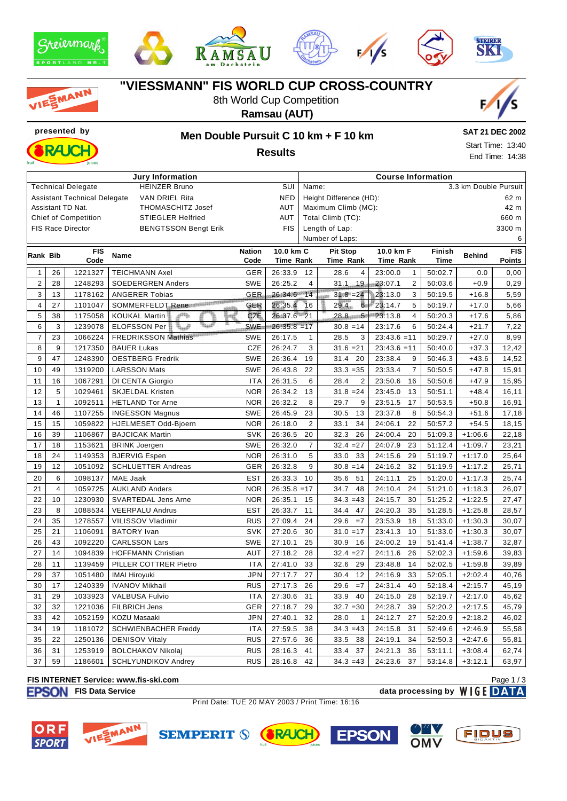











# **"VIESSMANN" FIS WORLD CUP CROSS-COUNTRY**

8th World Cup Competition







# **presented by Men Double Pursuit C 10 km + F 10 km**

**SAT 21 DEC 2002** Start Time: 13:40 End Time: 14:38

|                                                                     |                         |                             | Jury Information                              | <b>Course Information</b> |                            |                                 |                           |             |               |               |  |
|---------------------------------------------------------------------|-------------------------|-----------------------------|-----------------------------------------------|---------------------------|----------------------------|---------------------------------|---------------------------|-------------|---------------|---------------|--|
| <b>Technical Delegate</b><br><b>HEINZER Bruno</b><br>SUI            |                         |                             |                                               |                           |                            | 3.3 km Double Pursuit<br>Name:  |                           |             |               |               |  |
| <b>Assistant Technical Delegate</b><br>VAN DRIEL Rita<br><b>NED</b> |                         |                             |                                               |                           |                            | Height Difference (HD):<br>62 m |                           |             |               |               |  |
| Assistant TD Nat.<br>AUT<br><b>THOMASCHITZ Josef</b>                |                         |                             |                                               |                           |                            | Maximum Climb (MC):<br>42 m     |                           |             |               |               |  |
|                                                                     |                         | <b>Chief of Competition</b> | <b>STIEGLER Helfried</b>                      | AUT                       | Total Climb (TC):<br>660 m |                                 |                           |             |               |               |  |
|                                                                     |                         | <b>FIS Race Director</b>    | <b>BENGTSSON Bengt Erik</b>                   | <b>FIS</b>                | Length of Lap:             |                                 |                           |             | 3300 m        |               |  |
|                                                                     |                         |                             |                                               |                           | Number of Laps:            |                                 |                           |             | 6             |               |  |
| <b>Rank Bib</b>                                                     |                         | <b>FIS</b>                  | <b>Name</b>                                   | <b>Nation</b>             | 10.0 km C                  | <b>Pit Stop</b>                 | 10.0 km F                 | Finish      | <b>Behind</b> | <b>FIS</b>    |  |
|                                                                     |                         | Code                        |                                               | Code                      | Time Rank                  | Time Rank                       | Time Rank                 | <b>Time</b> |               | <b>Points</b> |  |
| $\mathbf{1}$                                                        | 26                      | 1221327                     | <b>TEICHMANN Axel</b>                         | GER                       | 26:33.9                    | 28.6<br>12<br>4                 | 23:00.0<br>$\mathbf{1}$   | 50:02.7     | 0.0           | 0,00          |  |
| $\overline{2}$                                                      | 28                      | 1248293                     | <b>SOEDERGREN Anders</b>                      | <b>SWE</b>                | 26:25.2                    | $31.1$ 19<br>4                  | $\overline{2}$<br>23:07.1 | 50:03.6     | $+0.9$        | 0,29          |  |
| 3                                                                   | 13                      | 1178162                     | <b>ANGERER Tobias</b>                         | GER                       | 26:34.6 14                 | $31.8 = 24$                     | 23:13.0<br>3              | 50:19.5     | $+16.8$       | 5,59          |  |
| $\overline{\mathbf{4}}$                                             | 27                      | 1101047                     | SOMMERFELDT Rene Constitution<br><b>NERRE</b> | GER                       | 26:35.4                    | $6 -$<br>16<br>$29.4 -$         | 5<br>23:14.7              | 50:19.7     | $+17.0$       | 5,66          |  |
| 5                                                                   | 38                      | 1175058                     | o <sup>pti</sup> le<br><b>KOUKAL Martin</b>   | CZE                       | 26:37.6 21                 | $28.8 - 5$                      | 23:13.8<br>$\overline{4}$ | 50:20.3     | $+17.6$       | 5,86          |  |
| 6                                                                   | 3                       | 1239078                     | المنباة<br>ELOFSSON Per                       | <b>SWE</b>                | $26:35.8 = 17$             | $30.8 = 14$                     | 23:17.6<br>6              | 50:24.4     | $+21.7$       | 7,22          |  |
| $\overline{7}$                                                      | 23                      | 1066224                     | <b>FREDRIKSSON Mathias</b>                    | <b>SWE</b>                | 26:17.5                    | 28.5<br>3<br>$\mathbf{1}$       | $23:43.6 = 11$            | 50:29.7     | $+27.0$       | 8,99          |  |
| 8                                                                   | 9                       | 1217350                     | <b>BAUER Lukas</b>                            | CZE                       | 26:24.7                    | 3<br>$31.6 = 21$                | $23:43.6 = 11$            | 50:40.0     | $+37.3$       | 12,42         |  |
| 9                                                                   | 47                      | 1248390                     | <b>OESTBERG Fredrik</b>                       | <b>SWE</b>                | 26:36.4                    | 19<br>31.4<br>20                | 23:38.4<br>9              | 50:46.3     | $+43.6$       | 14,52         |  |
| 10                                                                  | 49                      | 1319200                     | <b>LARSSON Mats</b>                           | SWE                       | 26:43.8                    | $33.3 = 35$<br>22               | 23:33.4<br>$\overline{7}$ | 50:50.5     | $+47.8$       | 15,91         |  |
| 11                                                                  | 16                      | 1067291                     | DI CENTA Giorgio                              | <b>ITA</b>                | 26:31.5                    | $\overline{2}$<br>6<br>28.4     | 23:50.6<br>16             | 50:50.6     | $+47.9$       | 15,95         |  |
| 12                                                                  | 5                       | 1029461                     | <b>SKJELDAL Kristen</b>                       | <b>NOR</b>                | 26:34.2                    | 13<br>$31.8 = 24$               | 23:45.0<br>13             | 50:51.1     | $+48.4$       | 16,11         |  |
| 13                                                                  | $\mathbf{1}$            | 1092511                     | <b>HETLAND Tor Arne</b>                       | <b>NOR</b>                | 26:32.2                    | 9<br>8<br>29.7                  | 23:51.5<br>17             | 50:53.5     | $+50.8$       | 16,91         |  |
| 14                                                                  | 46                      | 1107255                     | <b>INGESSON Magnus</b>                        | <b>SWE</b>                | 26:45.9                    | 30.5<br>13<br>23                | 23:37.8<br>8              | 50:54.3     | $+51.6$       | 17,18         |  |
| 15                                                                  | 15                      | 1059822                     | HJELMESET Odd-Bjoern                          | <b>NOR</b>                | 26:18.0                    | 34<br>2<br>33.1                 | 24:06.1<br>22             | 50:57.2     | $+54.5$       | 18,15         |  |
| 16                                                                  | 39                      | 1106867                     | <b>BAJCICAK Martin</b>                        | <b>SVK</b>                | 26:36.5                    | 20<br>32.3<br>26                | 24:00.4<br>20             | 51:09.3     | $+1:06.6$     | 22,18         |  |
| 17                                                                  | 18                      | 1153621                     | <b>BRINK Joergen</b>                          | SWE                       | 26:32.0                    | $\overline{7}$<br>$32.4 = 27$   | 24:07.9<br>23             | 51:12.4     | $+1:09.7$     | 23,21         |  |
| 18                                                                  | 24                      | 1149353                     | <b>BJERVIG Espen</b>                          | <b>NOR</b>                | 26:31.0                    | 33<br>5<br>33.0                 | 29<br>24:15.6             | 51:19.7     | $+1:17.0$     | 25,64         |  |
| 19                                                                  | 12                      | 1051092                     | <b>SCHLUETTER Andreas</b>                     | <b>GER</b>                | 26:32.8                    | $30.8 = 14$<br>9                | 24:16.2<br>32             | 51:19.9     | $+1:17.2$     | 25,71         |  |
| 20                                                                  | 6                       | 1098137                     | MAE Jaak                                      | <b>EST</b>                | 26:33.3                    | 10<br>35.6<br>51                | 24:11.1<br>25             | 51:20.0     | $+1:17.3$     | 25,74         |  |
| 21                                                                  | $\overline{\mathbf{4}}$ | 1059725                     | <b>AUKLAND Anders</b>                         | <b>NOR</b>                | $26:35.8 = 17$             | 34.7<br>48                      | 24:10.4<br>24             | 51:21.0     | $+1:18.3$     | 26,07         |  |
| 22                                                                  | 10                      | 1230930                     | SVARTEDAL Jens Arne                           | <b>NOR</b>                | 26:35.1                    | $34.3 = 43$<br>15               | 24:15.7<br>30             | 51:25.2     | $+1:22.5$     | 27,47         |  |
| 23                                                                  | 8                       | 1088534                     | <b>VEERPALU Andrus</b>                        | <b>EST</b>                | 26:33.7                    | 47<br>11<br>34.4                | 24:20.3<br>35             | 51:28.5     | $+1:25.8$     | 28,57         |  |
| 24                                                                  | 35                      | 1278557                     | VILISSOV Vladimir                             | <b>RUS</b>                | 27:09.4                    | $=7$<br>24<br>29.6              | 23:53.9<br>18             | 51:33.0     | $+1:30.3$     | 30,07         |  |
| 25                                                                  | 21                      | 1106091                     | <b>BATORY</b> Ivan                            | <b>SVK</b>                | 27:20.6                    | 30<br>$31.0 = 17$               | 23:41.3<br>10             | 51:33.0     | $+1:30.3$     | 30,07         |  |
| 26                                                                  | 43                      | 1092220                     | <b>CARLSSON Lars</b>                          | <b>SWE</b>                | 27:10.1                    | 25<br>30.9<br>16                | 24:00.2<br>19             | 51:41.4     | $+1:38.7$     | 32,87         |  |
| 27                                                                  | 14                      | 1094839                     | <b>HOFFMANN Christian</b>                     | <b>AUT</b>                | 27:18.2                    | 28<br>$32.4 = 27$               | 24:11.6<br>26             | 52:02.3     | $+1:59.6$     | 39,83         |  |
| 28                                                                  | 11                      | 1139459                     | PILLER COTTRER Pietro                         | <b>ITA</b>                | 27:41.0                    | 33<br>32.6<br>29                | 23:48.8<br>14             | 52:02.5     | $+1:59.8$     | 39,89         |  |
| 29                                                                  | 37                      | 1051480                     | <b>IMAI Hiroyuki</b>                          | <b>JPN</b>                | 27:17.7                    | 27<br>12<br>30.4                | 24:16.9<br>33             | 52:05.1     | $+2:02.4$     | 40,76         |  |
| 30                                                                  | 17                      | 1240339                     | <b>IVANOV Mikhail</b>                         | <b>RUS</b>                | 27:17.3                    | 29.6<br>$=7$<br>26              | 24:31.4<br>40             | 52:18.4     | $+2:15.7$     | 45,19         |  |
| 31                                                                  | 29                      | 1033923                     | <b>VALBUSA Fulvio</b>                         | <b>ITA</b>                | 27:30.6                    | 40<br>31<br>33.9                | 24:15.0<br>28             | 52:19.7     | $+2:17.0$     | 45,62         |  |
| 32                                                                  | 32                      | 1221036                     | FILBRICH Jens                                 | GER                       | 27:18.7                    | $32.7 = 30$<br>29               | 24:28.7<br>39             | 52:20.2     | $+2:17.5$     | 45,79         |  |
| 33                                                                  | 42                      | 1052159                     | KOZU Masaaki                                  | <b>JPN</b>                | 27:40.1                    | 28.0<br>$\mathbf{1}$<br>32      | 24:12.7<br>27             | 52:20.9     | $+2:18.2$     | 46,02         |  |
| 34                                                                  | 19                      | 1181072                     | <b>SCHWIENBACHER Freddy</b>                   | <b>ITA</b>                | 27:59.5                    | $34.3 = 43$<br>38               | 24:15.8<br>31             | 52:49.6     | $+2:46.9$     | 55,58         |  |
| 35                                                                  | 22                      | 1250136                     | <b>DENISOV Vitaly</b>                         | <b>RUS</b>                | 27:57.6                    | 38<br>36<br>33.5                | 24:19.1<br>34             | 52:50.3     | $+2:47.6$     | 55,81         |  |
| 36                                                                  | 31                      | 1253919                     | <b>BOLCHAKOV Nikolaj</b>                      | <b>RUS</b>                | 28:16.3                    | 41<br>33.4<br>37                | 24:21.3<br>36             | 53:11.1     | $+3:08.4$     | 62,74         |  |
| 37                                                                  | 59                      | 1186601                     | <b>SCHLYUNDIKOV Andrey</b>                    | <b>RUS</b>                | 28:16.8                    | $34.3 = 43$<br>42               | 37<br>24:23.6             | 53:14.8     | $+3:12.1$     | 63,97         |  |

#### **FIS INTERNET Service: www.fis-ski.com**

**FISON** FIS Data Service **data processing by** WIGE DATA Page 1 / 3

Print Date: TUE 20 MAY 2003 / Print Time: 16:16









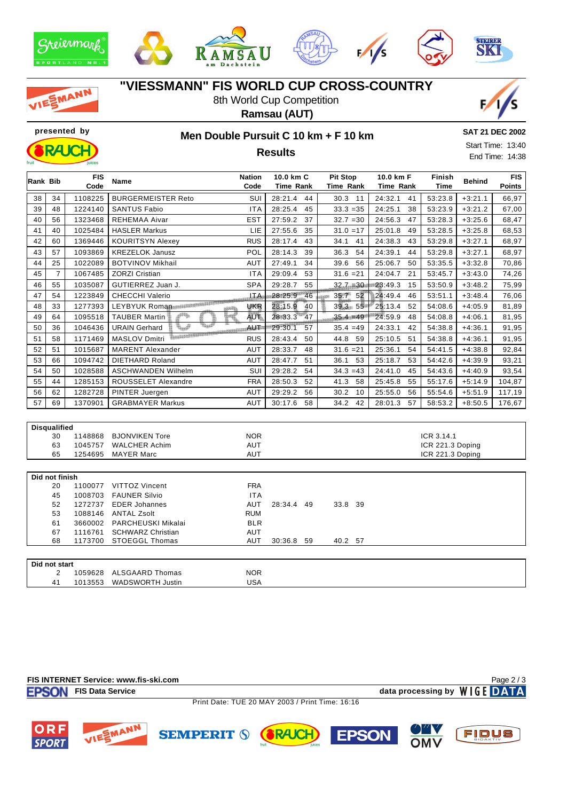









MANN

# **"VIESSMANN" FIS WORLD CUP CROSS-COUNTRY**

8th World Cup Competition **Ramsau (AUT)**





**SPORT** 

#### **presented by Men Double Pursuit C 10 km + F 10 km**

**SAT 21 DEC 2002**

**Results**

| Start Time: 13:40 |  |
|-------------------|--|
| End Time: 14:38   |  |

| <b>Rank Bib</b>     |                | <b>FIS</b><br>Code | Name                                          | <b>Nation</b><br>Code    | 10.0 km C<br><b>Time Rank</b> | <b>Pit Stop</b><br>Time Rank | 10.0 km F<br><b>Time Rank</b> | Finish<br><b>Time</b>          | <b>Behind</b> | <b>FIS</b><br>Points |
|---------------------|----------------|--------------------|-----------------------------------------------|--------------------------|-------------------------------|------------------------------|-------------------------------|--------------------------------|---------------|----------------------|
| 38                  | 34             | 1108225            | <b>BURGERMEISTER Reto</b>                     | SUI                      | 28:21.4<br>44                 | 30.3 11                      | 24:32.1<br>41                 | 53:23.8                        | $+3:21.1$     | 66,97                |
| 39                  | 48             | 1224140            | <b>SANTUS Fabio</b>                           | <b>ITA</b>               | 28:25.4<br>45                 | $33.3 = 35$                  | 24:25.1<br>38                 | 53:23.9                        | $+3:21.2$     | 67,00                |
| 40                  | 56             | 1323468            | <b>REHEMAA Aivar</b>                          | <b>EST</b>               | 27:59.2<br>37                 | $32.7 = 30$                  | 24:56.3<br>47                 | 53:28.3                        | $+3:25.6$     | 68,47                |
| 41                  | 40             | 1025484            | <b>HASLER Markus</b>                          | LIE                      | 27:55.6<br>35                 | $31.0 = 17$                  | 25:01.8<br>49                 | 53:28.5                        | $+3:25.8$     | 68,53                |
| 42                  | 60             | 1369446            | <b>KOURITSYN Alexey</b>                       | <b>RUS</b>               | 28:17.4<br>43                 | 34.1<br>41                   | 24:38.3<br>43                 | 53:29.8                        | $+3:27.1$     | 68,97                |
| 43                  | 57             | 1093869            | <b>KREZELOK Janusz</b>                        | POL                      | 28:14.3<br>39                 | 36.3<br>54                   | 24:39.1<br>44                 | 53:29.8                        | $+3:27.1$     | 68,97                |
| 44                  | 25             | 1022089            | <b>BOTVINOV Mikhail</b>                       | <b>AUT</b>               | 27:49.1<br>34                 | 39.6 56                      | 25:06.7<br>50                 | 53:35.5                        | $+3:32.8$     | 70,86                |
| 45                  | $\overline{7}$ | 1067485            | <b>ZORZI Cristian</b>                         | <b>ITA</b>               | 29:09.4<br>53                 | $31.6 = 21$                  | 24:04.7<br>21                 | 53:45.7                        | $+3:43.0$     | 74,26                |
| 46                  | 55             | 1035087            | GUTIERREZ Juan J.                             | <b>SPA</b>               | 29:28.7<br>55                 | $32.7 = 30$                  | 23:49.3<br>15                 | 53:50.9                        | $+3:48.2$     | 75,99                |
| 47                  | 54             | 1223849            | <b>CHECCHI Valerio</b>                        | <b>ITA</b>               | 28:25.9 46                    | 35.7 52                      | 24:49.4<br>46                 | 53:51.1                        | $+3:48.4$     | 76,06                |
| 48                  | 33             | 1277393            | LEYBYUK Roman MATHEMAN                        | UKR                      | 28:15.9<br>40                 | 39.3 55                      | 25:13.4<br>52                 | 54:08.6                        | $+4:05.9$     | 81,89                |
| 49                  | 64             | 1095518            | <b>TAUBER Martin</b>                          | <b>AUT</b>               | 28:33.3<br>47                 | $35.4 = 49$                  | 24:59.9<br>48                 | 54:08.8                        | $+4:06.1$     | 81,95                |
| 50                  | 36             | 1046436            | حمدة<br><b>URAIN Gerhard</b>                  | <b>AUT</b>               | 29:30.1<br>57                 | $35.4 = 49$                  | 24:33.1<br>42                 | 54:38.8                        | $+4:36.1$     | 91,95                |
| 51                  | 58             | 1171469            | <b>Teralizzator</b><br><b>MASLOV Dmitri</b>   | <b>RUS</b>               | 28:43.4<br>50                 | 44.8 59                      | 25:10.5<br>51                 | 54:38.8                        | $+4:36.1$     | 91,95                |
| 52                  | 51             | 1015687            | <b>MARENT Alexander</b>                       | <b>AUT</b>               | 28:33.7<br>48                 | $31.6 = 21$                  | 25:36.1<br>54                 | 54:41.5                        | $+4:38.8$     | 92,84                |
| 53                  | 66             | 1094742            | <b>DIETHARD Roland</b>                        | <b>AUT</b>               | 28:47.7<br>51                 | 36.1<br>53                   | 25:18.7<br>53                 | 54:42.6                        | $+4:39.9$     | 93,21                |
| 54                  | 50             | 1028588            | <b>ASCHWANDEN Wilhelm</b>                     | SUI                      | 29:28.2<br>54                 | $34.3 = 43$                  | 24:41.0<br>45                 | 54:43.6                        | $+4:40.9$     | 93,54                |
| 55                  | 44             | 1285153            | ROUSSELET Alexandre                           | <b>FRA</b>               | 28:50.3<br>52                 | 41.3 58                      | 25:45.8<br>55                 | 55:17.6                        | $+5:14.9$     | 104,87               |
| 56                  | 62             | 1282728            | PINTER Juergen                                | <b>AUT</b>               | 29:29.2<br>56                 | 30.2<br>10                   | 25:55.0<br>56                 | 55:54.6                        | $+5:51.9$     | 117,19               |
| 57                  | 69             | 1370901            | <b>GRABMAYER Markus</b>                       | <b>AUT</b>               | 30:17.6<br>58                 | 34.2<br>42                   | 28:01.3<br>57                 | 58:53.2                        | $+8:50.5$     | 176,67               |
|                     |                |                    |                                               |                          |                               |                              |                               |                                |               |                      |
| <b>Disqualified</b> |                |                    |                                               |                          |                               |                              |                               |                                |               |                      |
|                     | 30<br>63       | 1148868<br>1045757 | <b>BJONVIKEN Tore</b><br><b>WALCHER Achim</b> | <b>NOR</b><br><b>AUT</b> |                               |                              |                               | ICR 3.14.1<br>ICR 221.3 Doping |               |                      |
|                     | 65             | 1254695            | <b>MAYER Marc</b>                             | <b>AUT</b>               |                               |                              |                               | ICR 221.3 Doping               |               |                      |
|                     |                |                    |                                               |                          |                               |                              |                               |                                |               |                      |
|                     | Did not finish |                    |                                               |                          |                               |                              |                               |                                |               |                      |
|                     | 20             | 1100077            | VITTOZ Vincent                                | <b>FRA</b>               |                               |                              |                               |                                |               |                      |
|                     | 45             | 1008703            | <b>FAUNER Silvio</b>                          | <b>ITA</b>               |                               |                              |                               |                                |               |                      |
|                     | 52             | 1272737<br>1088146 | <b>EDER Johannes</b><br><b>ANTAL Zsolt</b>    | <b>AUT</b><br><b>RUM</b> | 28:34.4 49                    | 33.8 39                      |                               |                                |               |                      |
|                     | 53<br>61       | 3660002            | PARCHEUSKI Mikalai                            | <b>BLR</b>               |                               |                              |                               |                                |               |                      |
|                     | 67             | 1116761            | <b>SCHWARZ Christian</b>                      | <b>AUT</b>               |                               |                              |                               |                                |               |                      |

**Did not start** 2 1059628 ALSGAARD Thomas NOR 41 1013553 WADSWORTH Justin USA

68 1173700 STOEGGL Thomas AUT 30:36.8 59 40.2 57



**EPSON** 

 $OMV$